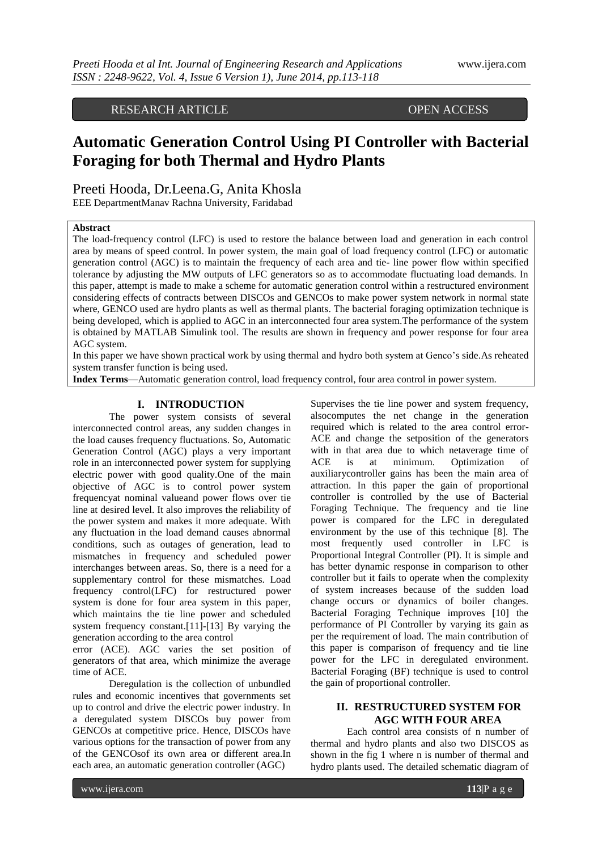RESEARCH ARTICLE OPEN ACCESS

## **Automatic Generation Control Using PI Controller with Bacterial Foraging for both Thermal and Hydro Plants**

Preeti Hooda, Dr.Leena.G, Anita Khosla

EEE DepartmentManav Rachna University, Faridabad

## **Abstract**

The load-frequency control (LFC) is used to restore the balance between load and generation in each control area by means of speed control. In power system, the main goal of load frequency control (LFC) or automatic generation control (AGC) is to maintain the frequency of each area and tie- line power flow within specified tolerance by adjusting the MW outputs of LFC generators so as to accommodate fluctuating load demands. In this paper, attempt is made to make a scheme for automatic generation control within a restructured environment considering effects of contracts between DISCOs and GENCOs to make power system network in normal state where, GENCO used are hydro plants as well as thermal plants. The bacterial foraging optimization technique is being developed, which is applied to AGC in an interconnected four area system.The performance of the system is obtained by MATLAB Simulink tool. The results are shown in frequency and power response for four area AGC system.

In this paper we have shown practical work by using thermal and hydro both system at Genco's side.As reheated system transfer function is being used.

**Index Terms**—Automatic generation control, load frequency control, four area control in power system.

## **I. INTRODUCTION**

The power system consists of several interconnected control areas, any sudden changes in the load causes frequency fluctuations. So, Automatic Generation Control (AGC) plays a very important role in an interconnected power system for supplying electric power with good quality.One of the main objective of AGC is to control power system frequencyat nominal valueand power flows over tie line at desired level. It also improves the reliability of the power system and makes it more adequate. With any fluctuation in the load demand causes abnormal conditions, such as outages of generation, lead to mismatches in frequency and scheduled power interchanges between areas. So, there is a need for a supplementary control for these mismatches. Load frequency control(LFC) for restructured power system is done for four area system in this paper, which maintains the tie line power and scheduled system frequency constant.[11]-[13] By varying the generation according to the area control

error (ACE). AGC varies the set position of generators of that area, which minimize the average time of ACE.

Deregulation is the collection of unbundled rules and economic incentives that governments set up to control and drive the electric power industry. In a deregulated system DISCOs buy power from GENCOs at competitive price. Hence, DISCOs have various options for the transaction of power from any of the GENCOsof its own area or different area.In each area, an automatic generation controller (AGC)

Supervises the tie line power and system frequency, alsocomputes the net change in the generation required which is related to the area control error-ACE and change the setposition of the generators with in that area due to which netaverage time of ACE is at minimum. Optimization of auxiliarycontroller gains has been the main area of attraction. In this paper the gain of proportional controller is controlled by the use of Bacterial Foraging Technique. The frequency and tie line power is compared for the LFC in deregulated environment by the use of this technique [8]. The most frequently used controller in LFC is Proportional Integral Controller (PI). It is simple and has better dynamic response in comparison to other controller but it fails to operate when the complexity of system increases because of the sudden load change occurs or dynamics of boiler changes. Bacterial Foraging Technique improves [10] the performance of PI Controller by varying its gain as per the requirement of load. The main contribution of this paper is comparison of frequency and tie line power for the LFC in deregulated environment. Bacterial Foraging (BF) technique is used to control the gain of proportional controller.

## **II. RESTRUCTURED SYSTEM FOR AGC WITH FOUR AREA**

Each control area consists of n number of thermal and hydro plants and also two DISCOS as shown in the fig 1 where n is number of thermal and hydro plants used. The detailed schematic diagram of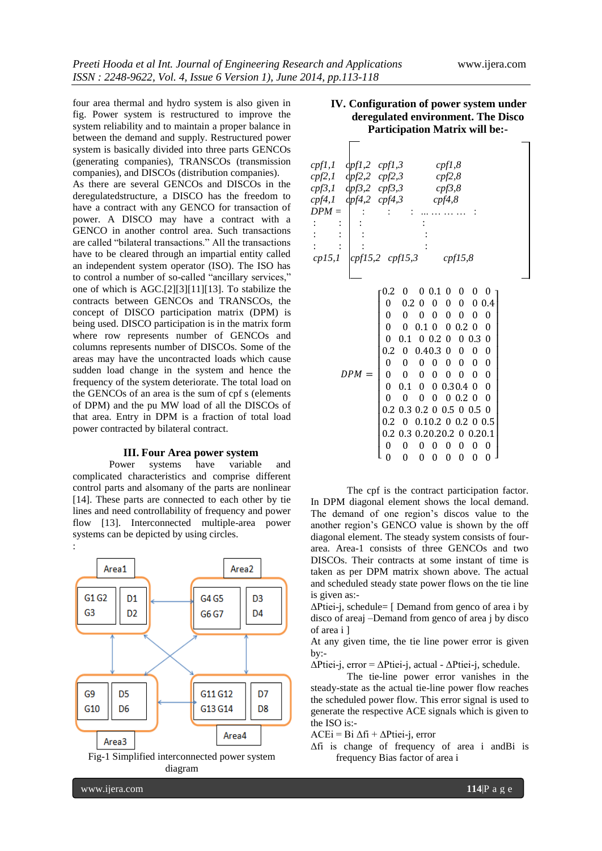four area thermal and hydro system is also given in fig. Power system is restructured to improve the system reliability and to maintain a proper balance in between the demand and supply. Restructured power system is basically divided into three parts GENCOs (generating companies), TRANSCOs (transmission companies), and DISCOs (distribution companies).

As there are several GENCOs and DISCOs in the deregulatedstructure, a DISCO has the freedom to have a contract with any GENCO for transaction of power. A DISCO may have a contract with a GENCO in another control area. Such transactions are called "bilateral transactions." All the transactions have to be cleared through an impartial entity called an independent system operator (ISO). The ISO has to control a number of so-called "ancillary services," one of which is AGC.[2][3][11][13]. To stabilize the contracts between GENCOs and TRANSCOs, the concept of DISCO participation matrix (DPM) is being used. DISCO participation is in the matrix form where row represents number of GENCOs and columns represents number of DISCOs. Some of the areas may have the uncontracted loads which cause sudden load change in the system and hence the frequency of the system deteriorate. The total load on the GENCOs of an area is the sum of cpf s (elements of DPM) and the pu MW load of all the DISCOs of that area. Entry in DPM is a fraction of total load power contracted by bilateral contract.

#### **III. Four Area power system**

Power systems have variable and complicated characteristics and comprise different control parts and alsomany of the parts are nonlinear [14]. These parts are connected to each other by tie lines and need controllability of frequency and power flow [13]. Interconnected multiple-area power systems can be depicted by using circles.



Fig-1 Simplified interconnected power system diagram

## **IV. Configuration of power system under deregulated environment. The Disco Participation Matrix will be:-**

| $cpf1,1$ $qpf1,2$ $cpf1,3$                        | cpf1,8                                                                                                                                   |                                   |
|---------------------------------------------------|------------------------------------------------------------------------------------------------------------------------------------------|-----------------------------------|
|                                                   |                                                                                                                                          |                                   |
|                                                   |                                                                                                                                          |                                   |
| $\frac{cpf4}{1}$ $\frac{dpf4}{2}$ $\frac{cf4}{3}$ | $\overrightarrow{cpf4,8}$                                                                                                                |                                   |
| $DPM =$ :                                         |                                                                                                                                          |                                   |
|                                                   |                                                                                                                                          |                                   |
|                                                   |                                                                                                                                          |                                   |
|                                                   |                                                                                                                                          |                                   |
| $cpl5,1$ $cpf15,2$ $cpf15,3$                      |                                                                                                                                          | cpf15,8                           |
|                                                   |                                                                                                                                          |                                   |
|                                                   |                                                                                                                                          |                                   |
|                                                   | $0.2 \quad 0 \quad 0 \quad 0.1 \quad 0 \quad 0 \quad 0$                                                                                  |                                   |
|                                                   | $0$ 0.2 0 0 0 0 0 0.4                                                                                                                    |                                   |
|                                                   | $0 \t 0 \t 0 \t 0 \t 0 \t 0 \t 0 \t 0$                                                                                                   |                                   |
|                                                   | $0 \t 0 \t 0.1 \t 0 \t 0.2 \t 0 \t 0$                                                                                                    |                                   |
|                                                   | $0$ 0.1 0 0.2 0 0 0.3                                                                                                                    | $\bm{0}$                          |
|                                                   | $0.2$ 0 0.40.3 0 0 0 0                                                                                                                   |                                   |
|                                                   |                                                                                                                                          |                                   |
| $DPM =$                                           |                                                                                                                                          |                                   |
|                                                   | $\begin{array}{cccccccc} 0 & 0 & 0 & 0 & 0 & 0 & 0 & 0 \\ 0 & 0 & 0 & 0 & 0 & 0 & 0 & 0 \\ 0 & 0.1 & 0 & 0 & 0.30.4 & 0 & 0 \end{array}$ |                                   |
|                                                   | $0 \t 0 \t 0 \t 0 \t 0 \t 0.2 \t 0 \t 0$                                                                                                 |                                   |
|                                                   | 0.2 0.3 0.2 0 0.5 0 0.5 0                                                                                                                |                                   |
|                                                   | $0.2$ 0 0.10.2 0 0.2 0 0.5                                                                                                               |                                   |
|                                                   | 0.2 0.3 0.20.20.2 0 0.20.1                                                                                                               |                                   |
|                                                   | $0 \t 0 \t 0 \t 0 \t 0$<br>$\theta$                                                                                                      | $0\quad 0$                        |
|                                                   | $\overline{0}$<br>$\mathbf{0}$<br>$0\quad 0$                                                                                             | $0\quad 0$<br>$\overline{0}$<br>0 |
|                                                   |                                                                                                                                          |                                   |

The cpf is the contract participation factor. In DPM diagonal element shows the local demand. The demand of one region's discos value to the another region's GENCO value is shown by the off diagonal element. The steady system consists of fourarea. Area-1 consists of three GENCOs and two DISCOs. Their contracts at some instant of time is taken as per DPM matrix shown above. The actual and scheduled steady state power flows on the tie line is given as:-

ΔPtiei-j, schedule= [ Demand from genco of area i by disco of areaj –Demand from genco of area j by disco of area i ]

At any given time, the tie line power error is given  $bv$ :-

ΔPtiei-j, error = ΔPtiei-j, actual - ΔPtiei-j, schedule.

The tie-line power error vanishes in the steady-state as the actual tie-line power flow reaches the scheduled power flow. This error signal is used to generate the respective ACE signals which is given to the ISO is:-

 $ACEi = Bi \Delta f\hat{i} + \Delta P\hat{f}$ iei-j, error

Δfi is change of frequency of area i andBi is frequency Bias factor of area i

: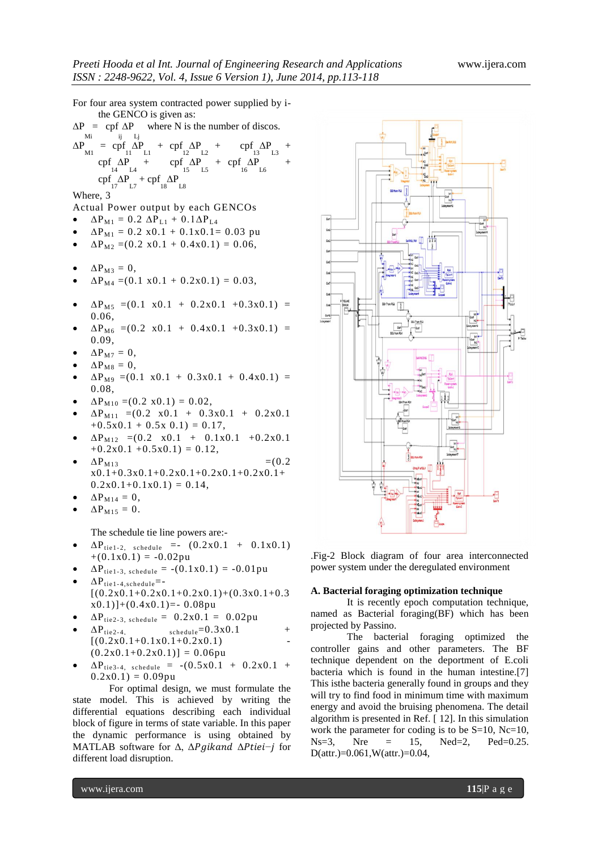For four area system contracted power supplied by i-

the GENCO is given as: ∆P Mi ij Lj  $=$  cpf  $\Delta P$  where N is the number of discos. ∆P  $M1 = \text{cpf } \Delta P$ <br>  $\text{cpf } \Delta P$ <br>  $\text{cpf } \Delta P$ <br>  $\text{cf } \Delta P$ <br>  $\text{cf } \Delta P$ <br>  $\text{cf } \Delta P$ <br>  $\text{cf } \Delta P$ <br>  $\text{cf } \Delta P$ + cpf  $\Delta P$ <br>+ cpf  $\Delta P$ <br>16 L6  $\text{cpf}_{13} \Delta P$ <sub>I</sub> + +  $\text{cpf}_{17} \Delta \text{P}_{\text{L7}} + \text{cpf}_{18} \Delta \text{P}_{\text{L8}}$ Where, 3 Actual Power output by each GENCOs  $\Delta P_{M1} = 0.2 \Delta P_{L1} + 0.1 \Delta P_{L4}$  $\Delta P_{M1} = 0.2$  x0.1 + 0.1x0.1= 0.03 pu  $\Delta P_{M2} = (0.2 \times 0.1 + 0.4 \times 0.1) = 0.06$ ,  $\bullet$   $\Delta P_{M3} = 0$ ,  $\Delta P_{M4} = (0.1 \times 0.1 + 0.2 \times 0.1) = 0.03$ ,  $\Delta P_{M5} = (0.1 \times 0.1 + 0.2 \times 0.1 + 0.3 \times 0.1) =$ 0.06,  $\Delta P_{M6}$  =(0.2 x0.1 + 0.4x0.1 +0.3x0.1) = 0.09,  $\Delta P_{M7} = 0$ ,  $\Delta P_{\text{M8}} = 0$ ,  $\Delta P_{M9} = (0.1 \times 0.1 + 0.3 \times 0.1 + 0.4 \times 0.1) =$ 0.08,  $\Delta P_{M10} = (0.2 \times 0.1) = 0.02$ ,  $\Delta P_{M11}$  =(0.2 x0.1 + 0.3x0.1 + 0.2x0.1  $+0.5x0.1 + 0.5x 0.1 = 0.17$ ,  $\Delta P_{M12}$  =(0.2 x0.1 + 0.1x0.1 +0.2x0.1  $+0.2x0.1 +0.5x0.1 = 0.12$ ,  $\Delta P_{M13}$  =(0.2)  $x0.1+0.3x0.1+0.2x0.1+0.2x0.1+0.2x0.1+$  $0.2x0.1+0.1x0.1) = 0.14$ ,  $\Delta P_{M14} = 0$ ,  $\Delta P_{M15} = 0.$ The schedule tie line powers are:-  $\Delta P_{\text{tie1-2, schedule}}$  =-  $(0.2x0.1 + 0.1x0.1)$ 

 $+(0.1x0.1) = -0.02pu$ 

- $\Delta P_{\text{tie }1-3, \text{ schedule}} = -(0.1 \times 0.1) = -0.01 \text{pu}$  $\Delta P_{\text{tie}1-4, \text{schedule}}$ =-
- $[(0.2x0.1+0.2x0.1+0.2x0.1)+(0.3x0.1+0.3$  $x(0.1)]+(0.4x(0.1))=-0.08$ pu
- $\Delta P_{\text{tie}2-3, \text{ schedule}} = 0.2 \times 0.1 = 0.02 \text{pu}$
- $\Delta P_{\text{tie2-4}}$ , schedule=0.3x0.1 +  $[(0.2x0.1+0.1x0.1+0.2x0.1)]$  $(0.2x0.1+0.2x0.1)$ ] = 0.06pu
- $\Delta P_{\text{tie}3-4, \text{ schedule}} = -(0.5 \times 0.1 + 0.2 \times 0.1 +$  $0.2x0.1) = 0.09pu$

For optimal design, we must formulate the state model. This is achieved by writing the differential equations describing each individual block of figure in terms of state variable. In this paper the dynamic performance is using obtained by MATLAB software for  $\Delta$ ,  $\Delta$ Pgikand  $\Delta$ Ptiei-j for different load disruption.



.Fig-2 Block diagram of four area interconnected power system under the deregulated environment

#### **A. Bacterial foraging optimization technique**

It is recently epoch computation technique, named as Bacterial foraging(BF) which has been projected by Passino.

The bacterial foraging optimized the controller gains and other parameters. The BF technique dependent on the deportment of E.coli bacteria which is found in the human intestine.[7] This isthe bacteria generally found in groups and they will try to find food in minimum time with maximum energy and avoid the bruising phenomena. The detail algorithm is presented in Ref. [ 12]. In this simulation work the parameter for coding is to be S=10, Nc=10,  $Ns=3$ ,  $Nre = 15$ ,  $Ned=2$ ,  $Ped=0.25$ . D(attr.)=0.061,W(attr.)=0.04,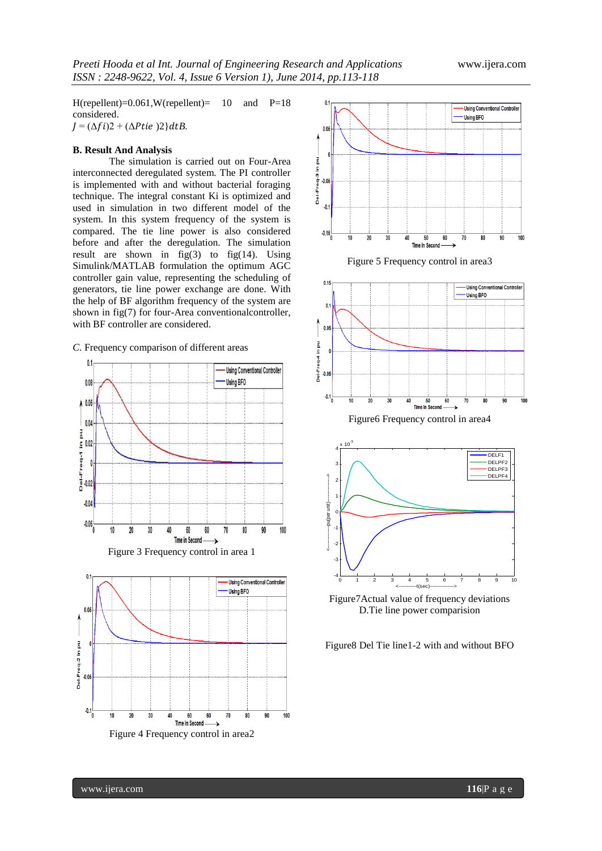$H(repellent)=0.061$ ,  $W(repellent)= 10$  and  $P=18$ considered.  $J = (\Delta f i)2 + (\Delta P t i e)2$ *dtB.* 

## **B. Result And Analysis**

The simulation is carried out on Four-Area interconnected deregulated system. The PI controller is implemented with and without bacterial foraging technique. The integral constant Ki is optimized and used in simulation in two different model of the system. In this system frequency of the system is compared. The tie line power is also considered before and after the deregulation. The simulation result are shown in  $fig(3)$  to  $fig(14)$ . Using Simulink/MATLAB formulation the optimum AGC controller gain value, representing the scheduling of generators, tie line power exchange are done. With the help of BF algorithm frequency of the system are shown in fig(7) for four-Area conventionalcontroller, with BF controller are considered.

## *C*. Frequency comparison of different areas







Figure 4 Frequency control in area2







Figure6 Frequency control in area4



Figure7Actual value of frequency deviations D.Tie line power comparision

Figure8 Del Tie line1-2 with and without BFO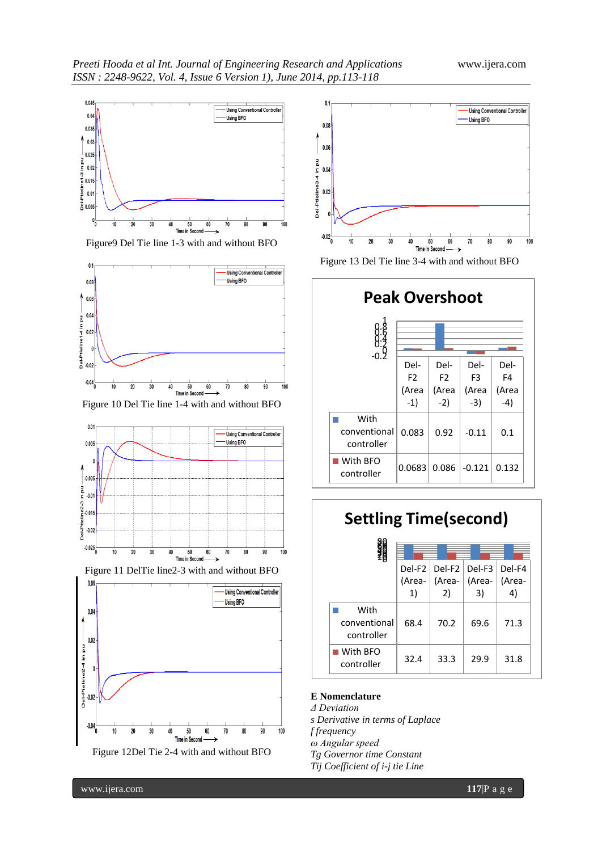

Figure9 Del Tie line 1-3 with and without BFO



Figure 10 Del Tie line 1-4 with and without BFO



Figure 11 DelTie line2-3 with and without BFO











# **Settling Time(second)**

|                                    | Del-F2<br>(Area-<br>1) | (Area-<br>2) | $Del-F2   Del-F3$<br>(Area-<br>3) | Del-F4<br>(Area-<br>4) |
|------------------------------------|------------------------|--------------|-----------------------------------|------------------------|
| With<br>conventional<br>controller | 68.4                   | 70.2         | 69.6                              | 71.3                   |
| ■ With BFO<br>controller           | 32.4                   | 33.3         | 29.9                              | 31.8                   |

**E Nomenclature**

*Δ Deviation s Derivative in terms of Laplace f frequency ω Angular speed Tg Governor time Constant Tij Coefficient of i-j tie Line*